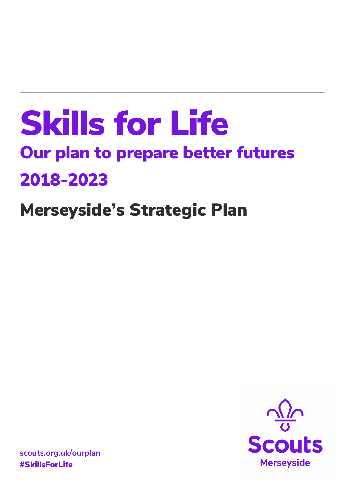# Skills for Life Our plan to prepare better futures 2018-2023

# Merseyside's Strategic Plan



**scouts.org.uk/ourplan** #SkillsForLife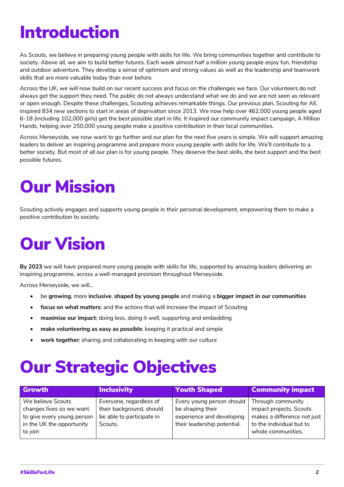### Introduction

As Scouts, we believe in preparing young people with skills for life. We bring communities together and contribute to society. Above all, we aim to build better futures. Each week almost half a million young people enjoy fun, friendship and outdoor adventure. They develop a sense of optimism and strong values as well as the leadership and teamwork skills that are more valuable today than ever before.

Across the UK, we will now build on our recent success and focus on the challenges we face. Our volunteers do not always get the support they need. The public do not always understand what we do and we are not seen as relevant or open enough. Despite these challenges, Scouting achieves remarkable things. Our previous plan, Scouting for All, inspired 834 new sections to start in areas of deprivation since 2013. We now help over 462,000 young people aged 6-18 (including 102,000 girls) get the best possible start in life. It inspired our community impact campaign, A Million Hands, helping over 250,000 young people make a positive contribution in their local communities.

Across Merseyside, we now want to go further and our plan for the next five years is simple. We will support amazing leaders to deliver an inspiring programme and prepare more young people with skills for life. We'll contribute to a better society. But most of all our plan is for young people. They deserve the best skills, the best support and the best possible futures.

### Our Mission

Scouting actively engages and supports young people in their personal development, empowering them to make a positive contribution to society.

## Our Vision

**By 2023** we will have prepared more young people with skills for life, supported by amazing leaders delivering an inspiring programme, across a well-managed provision throughout Merseyside.

Across Merseyside, we will…

- be **growing**, more **inclusive**, **shaped by young people** and making a **bigger impact in our communities**
- **focus on what matters**; and the actions that will increase the impact of Scouting
- **maximise our impact**; doing less, doing it well, supporting and embedding
- **make volunteering as easy as possible**; keeping it practical and simple
- **work together**; sharing and collaborating in keeping with our culture

### Our Strategic Objectives

| Growth                     | <b>Inclusivity</b>        | <b>Youth Shaped</b>         | <b>Community impact</b>     |
|----------------------------|---------------------------|-----------------------------|-----------------------------|
| We believe Scouts          | Everyone, regardless of   | Every young person should   | Through community           |
| changes lives so we want   | their background, should  | be shaping their            | impact projects, Scouts     |
| to give every young person | be able to participate in | experience and developing   | makes a difference not just |
| in the UK the opportunity  | Scouts.                   | their leadership potential. | to the individual but to    |
| to join                    |                           |                             | whole communities.          |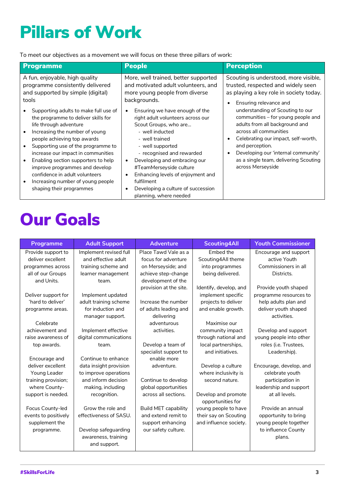# Pillars of Work

To meet our objectives as a movement we will focus on these three pillars of work:

| Programme                                                                                                                                                                                                                                                                                                                                                                                                                                                                                                                                           | <b>People</b>                                                                                                                                                                                                                                                                                                                                                                                                                                                                                                  | <b>Perception</b>                                                                                                                                                                                                                                                                                                                                                                                                                                     |
|-----------------------------------------------------------------------------------------------------------------------------------------------------------------------------------------------------------------------------------------------------------------------------------------------------------------------------------------------------------------------------------------------------------------------------------------------------------------------------------------------------------------------------------------------------|----------------------------------------------------------------------------------------------------------------------------------------------------------------------------------------------------------------------------------------------------------------------------------------------------------------------------------------------------------------------------------------------------------------------------------------------------------------------------------------------------------------|-------------------------------------------------------------------------------------------------------------------------------------------------------------------------------------------------------------------------------------------------------------------------------------------------------------------------------------------------------------------------------------------------------------------------------------------------------|
| A fun, enjoyable, high quality<br>programme consistently delivered<br>and supported by simple (digital)<br>tools<br>Supporting adults to make full use of<br>the programme to deliver skills for<br>life through adventure<br>Increasing the number of young<br>people achieving top awards<br>Supporting use of the programme to<br>increase our impact in communities<br>Enabling section supporters to help<br>improve programmes and develop<br>confidence in adult volunteers<br>Increasing number of young people<br>shaping their programmes | More, well trained, better supported<br>and motivated adult volunteers, and<br>more young people from diverse<br>backgrounds.<br>Ensuring we have enough of the<br>right adult volunteers across our<br>Scout Groups, who are<br>- well inducted<br>- well trained<br>- well supported<br>- recognised and rewarded<br>Developing and embracing our<br>$\bullet$<br>#TeamMerseyside culture<br>Enhancing levels of enjoyment and<br>fulfilment<br>Developing a culture of succession<br>planning, where needed | Scouting is understood, more visible,<br>trusted, respected and widely seen<br>as playing a key role in society today.<br>Ensuring relevance and<br>understanding of Scouting to our<br>communities – for young people and<br>adults from all background and<br>across all communities<br>Celebrating our impact, self-worth,<br>and perception.<br>Developing our 'internal community'<br>as a single team, delivering Scouting<br>across Merseyside |

### Our Goals

| Programme            | <b>Adult Support</b>   | <b>Adventure</b>            | <b>Scouting4All</b>    | <b>Youth Commissioner</b> |
|----------------------|------------------------|-----------------------------|------------------------|---------------------------|
| Provide support to   | Implement revised full | Place Tawd Vale as a        | Embed the              | Encourage and support     |
| deliver excellent    | and effective adult    | focus for adventure         | Scouting4All theme     | active Youth              |
| programmes across    | training scheme and    | on Merseyside; and          | into programmes        | Commissioners in all      |
| all of our Groups    | learner management     | achieve step-change         | being delivered.       | Districts.                |
| and Units.           | team.                  | development of the          |                        |                           |
|                      |                        | provision at the site.      | Identify, develop, and | Provide youth shaped      |
| Deliver support for  | Implement updated      |                             | implement specific     | programme resources to    |
| 'hard to deliver'    | adult training scheme  | Increase the number         | projects to deliver    | help adults plan and      |
| programme areas.     | for induction and      | of adults leading and       | and enable growth.     | deliver youth shaped      |
|                      | manager support.       | delivering                  |                        | activities.               |
| Celebrate            |                        | adventurous                 | Maximise our           |                           |
| achievement and      | Implement effective    | activities.                 | community impact       | Develop and support       |
| raise awareness of   | digital communications |                             | through national and   | young people into other   |
| top awards.          | team.                  | Develop a team of           | local partnerships,    | roles (i.e. Trustees,     |
|                      |                        | specialist support to       | and initiatives.       | Leadership).              |
| Encourage and        | Continue to enhance    | enable more                 |                        |                           |
| deliver excellent    | data insight provision | adventure.                  | Develop a culture      | Encourage, develop, and   |
| Young Leader         | to improve operations  |                             | where inclusivity is   | celebrate youth           |
| training provision;  | and inform decision    | Continue to develop         | second nature.         | participation in          |
| where County-        | making, including      | global opportunities        |                        | leadership and support    |
| support is needed.   | recognition.           | across all sections.        | Develop and promote    | at all levels.            |
|                      |                        |                             | opportunities for      |                           |
| Focus County-led     | Grow the role and      | <b>Build MET capability</b> | young people to have   | Provide an annual         |
| events to positively | effectiveness of SASU. | and extend remit to         | their say on Scouting  | opportunity to bring      |
| supplement the       |                        | support enhancing           | and influence society. | young people together     |
| programme.           | Develop safeguarding   | our safety culture.         |                        | to influence County       |
|                      | awareness, training    |                             |                        | plans.                    |
|                      | and support.           |                             |                        |                           |